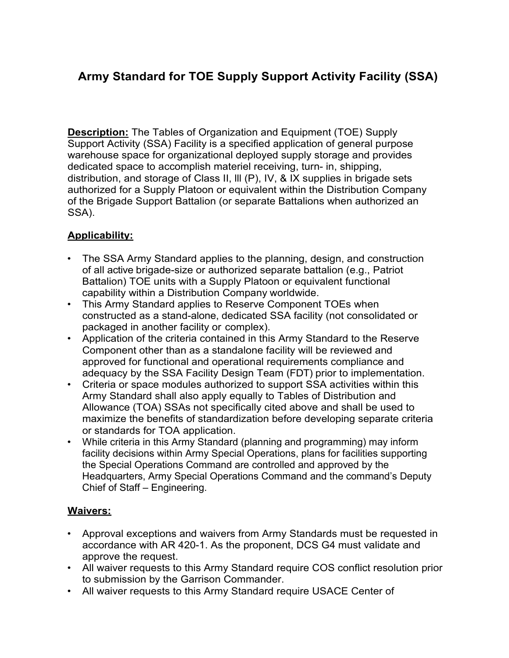# **Army Standard for TOE Supply Support Activity Facility (SSA)**

**Description:** The Tables of Organization and Equipment (TOE) Supply Support Activity (SSA) Facility is a specified application of general purpose warehouse space for organizational deployed supply storage and provides dedicated space to accomplish materiel receiving, turn- in, shipping, distribution, and storage of Class II, lll (P), IV, & IX supplies in brigade sets authorized for a Supply Platoon or equivalent within the Distribution Company of the Brigade Support Battalion (or separate Battalions when authorized an SSA).

# **Applicability:**

- The SSA Army Standard applies to the planning, design, and construction of all active brigade-size or authorized separate battalion (e.g., Patriot Battalion) TOE units with a Supply Platoon or equivalent functional capability within a Distribution Company worldwide.
- This Army Standard applies to Reserve Component TOEs when constructed as a stand-alone, dedicated SSA facility (not consolidated or packaged in another facility or complex).
- Application of the criteria contained in this Army Standard to the Reserve Component other than as a standalone facility will be reviewed and approved for functional and operational requirements compliance and adequacy by the SSA Facility Design Team (FDT) prior to implementation.
- Criteria or space modules authorized to support SSA activities within this Army Standard shall also apply equally to Tables of Distribution and Allowance (TOA) SSAs not specifically cited above and shall be used to maximize the benefits of standardization before developing separate criteria or standards for TOA application.
- While criteria in this Army Standard (planning and programming) may inform facility decisions within Army Special Operations, plans for facilities supporting the Special Operations Command are controlled and approved by the Headquarters, Army Special Operations Command and the command's Deputy Chief of Staff – Engineering.

# **Waivers:**

- Approval exceptions and waivers from Army Standards must be requested in accordance with AR 420-1. As the proponent, DCS G4 must validate and approve the request.
- All waiver requests to this Army Standard require COS conflict resolution prior to submission by the Garrison Commander.
- All waiver requests to this Army Standard require USACE Center of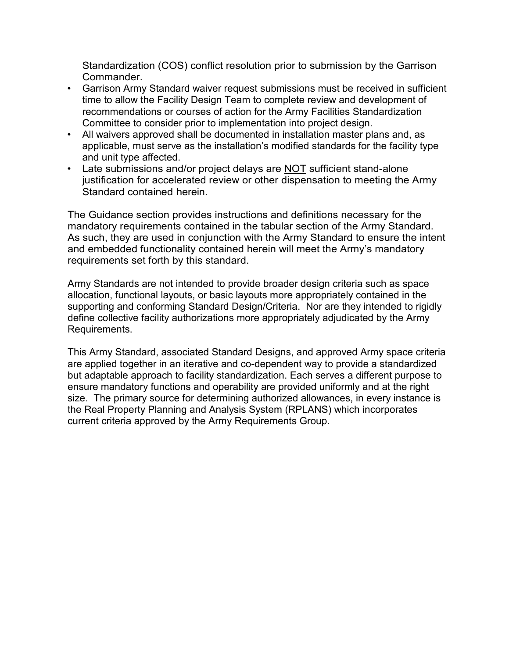Standardization (COS) conflict resolution prior to submission by the Garrison Commander.

- Garrison Army Standard waiver request submissions must be received in sufficient time to allow the Facility Design Team to complete review and development of recommendations or courses of action for the Army Facilities Standardization Committee to consider prior to implementation into project design.
- All waivers approved shall be documented in installation master plans and, as applicable, must serve as the installation's modified standards for the facility type and unit type affected.
- Late submissions and/or project delays are NOT sufficient stand-alone justification for accelerated review or other dispensation to meeting the Army Standard contained herein.

The Guidance section provides instructions and definitions necessary for the mandatory requirements contained in the tabular section of the Army Standard. As such, they are used in conjunction with the Army Standard to ensure the intent and embedded functionality contained herein will meet the Army's mandatory requirements set forth by this standard.

Army Standards are not intended to provide broader design criteria such as space allocation, functional layouts, or basic layouts more appropriately contained in the supporting and conforming Standard Design/Criteria. Nor are they intended to rigidly define collective facility authorizations more appropriately adjudicated by the Army Requirements.

This Army Standard, associated Standard Designs, and approved Army space criteria are applied together in an iterative and co-dependent way to provide a standardized but adaptable approach to facility standardization. Each serves a different purpose to ensure mandatory functions and operability are provided uniformly and at the right size. The primary source for determining authorized allowances, in every instance is the Real Property Planning and Analysis System (RPLANS) which incorporates current criteria approved by the Army Requirements Group.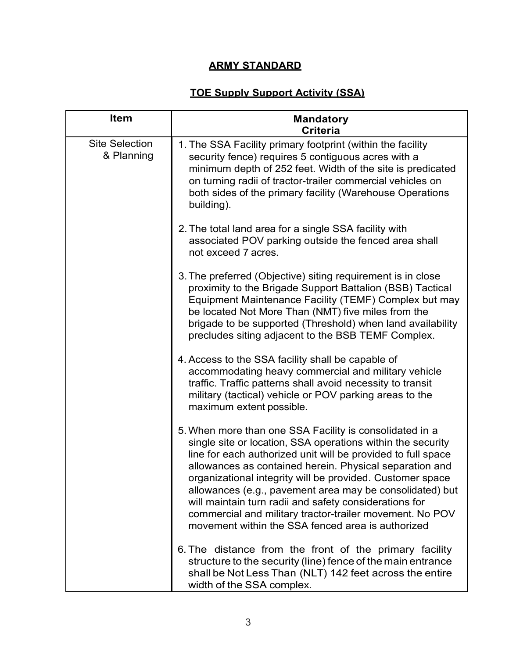# **ARMY STANDARD**

# **TOE Supply Support Activity (SSA)**

| <b>Item</b>                         | <b>Mandatory</b><br><b>Criteria</b>                                                                                                                                                                                                                                                                                                                                                                                                                                                                                                                   |
|-------------------------------------|-------------------------------------------------------------------------------------------------------------------------------------------------------------------------------------------------------------------------------------------------------------------------------------------------------------------------------------------------------------------------------------------------------------------------------------------------------------------------------------------------------------------------------------------------------|
| <b>Site Selection</b><br>& Planning | 1. The SSA Facility primary footprint (within the facility<br>security fence) requires 5 contiguous acres with a<br>minimum depth of 252 feet. Width of the site is predicated<br>on turning radii of tractor-trailer commercial vehicles on<br>both sides of the primary facility (Warehouse Operations<br>building).                                                                                                                                                                                                                                |
|                                     | 2. The total land area for a single SSA facility with<br>associated POV parking outside the fenced area shall<br>not exceed 7 acres.                                                                                                                                                                                                                                                                                                                                                                                                                  |
|                                     | 3. The preferred (Objective) siting requirement is in close<br>proximity to the Brigade Support Battalion (BSB) Tactical<br>Equipment Maintenance Facility (TEMF) Complex but may<br>be located Not More Than (NMT) five miles from the<br>brigade to be supported (Threshold) when land availability<br>precludes siting adjacent to the BSB TEMF Complex.                                                                                                                                                                                           |
|                                     | 4. Access to the SSA facility shall be capable of<br>accommodating heavy commercial and military vehicle<br>traffic. Traffic patterns shall avoid necessity to transit<br>military (tactical) vehicle or POV parking areas to the<br>maximum extent possible.                                                                                                                                                                                                                                                                                         |
|                                     | 5. When more than one SSA Facility is consolidated in a<br>single site or location, SSA operations within the security<br>line for each authorized unit will be provided to full space<br>allowances as contained herein. Physical separation and<br>organizational integrity will be provided. Customer space<br>allowances (e.g., pavement area may be consolidated) but<br>will maintain turn radii and safety considerations for<br>commercial and military tractor-trailer movement. No POV<br>movement within the SSA fenced area is authorized |
|                                     | 6. The distance from the front of the primary facility<br>structure to the security (line) fence of the main entrance<br>shall be Not Less Than (NLT) 142 feet across the entire<br>width of the SSA complex.                                                                                                                                                                                                                                                                                                                                         |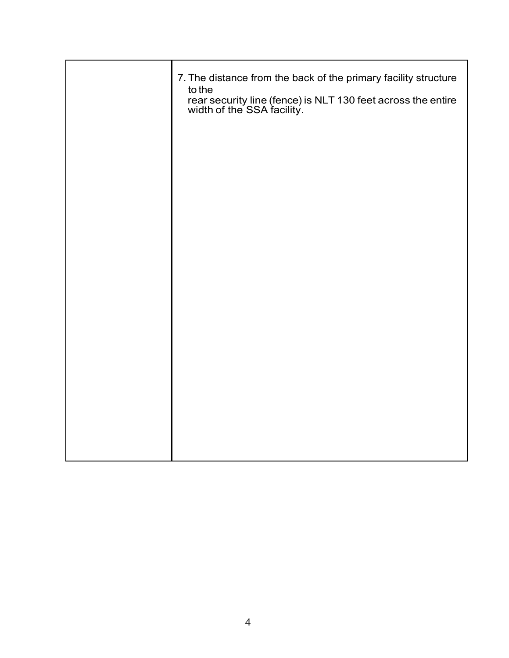| 7. The distance from the back of the primary facility structure<br>to the<br>rear security line (fence) is NLT 130 feet across the entire width of the SSA facility. |
|----------------------------------------------------------------------------------------------------------------------------------------------------------------------|
|                                                                                                                                                                      |
|                                                                                                                                                                      |
|                                                                                                                                                                      |
|                                                                                                                                                                      |
|                                                                                                                                                                      |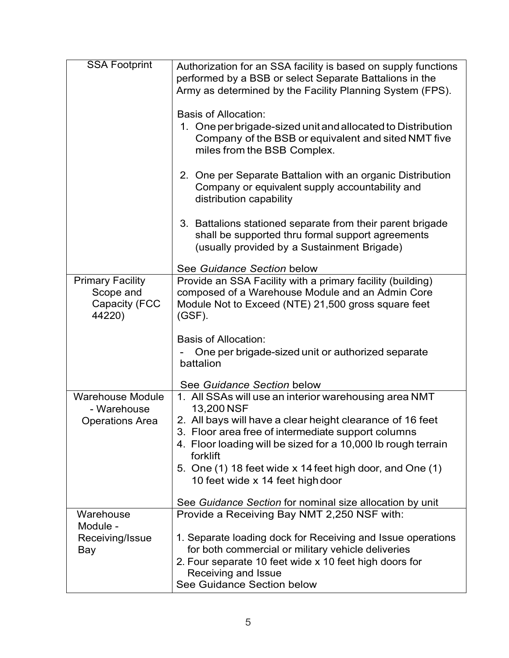| <b>SSA Footprint</b>                                            | Authorization for an SSA facility is based on supply functions<br>performed by a BSB or select Separate Battalions in the<br>Army as determined by the Facility Planning System (FPS).<br><b>Basis of Allocation:</b><br>1. One per brigade-sized unit and allocated to Distribution<br>Company of the BSB or equivalent and sited NMT five<br>miles from the BSB Complex.<br>2. One per Separate Battalion with an organic Distribution<br>Company or equivalent supply accountability and<br>distribution capability<br>3. Battalions stationed separate from their parent brigade<br>shall be supported thru formal support agreements<br>(usually provided by a Sustainment Brigade) |
|-----------------------------------------------------------------|------------------------------------------------------------------------------------------------------------------------------------------------------------------------------------------------------------------------------------------------------------------------------------------------------------------------------------------------------------------------------------------------------------------------------------------------------------------------------------------------------------------------------------------------------------------------------------------------------------------------------------------------------------------------------------------|
|                                                                 | See Guidance Section below                                                                                                                                                                                                                                                                                                                                                                                                                                                                                                                                                                                                                                                               |
| <b>Primary Facility</b><br>Scope and<br>Capacity (FCC<br>44220) | Provide an SSA Facility with a primary facility (building)<br>composed of a Warehouse Module and an Admin Core<br>Module Not to Exceed (NTE) 21,500 gross square feet<br>$(GSF)$ .<br><b>Basis of Allocation:</b><br>One per brigade-sized unit or authorized separate<br>battalion<br>See Guidance Section below                                                                                                                                                                                                                                                                                                                                                                        |
| <b>Warehouse Module</b>                                         | 1. All SSAs will use an interior warehousing area NMT                                                                                                                                                                                                                                                                                                                                                                                                                                                                                                                                                                                                                                    |
| - Warehouse<br><b>Operations Area</b>                           | 13,200 NSF<br>2. All bays will have a clear height clearance of 16 feet<br>3. Floor area free of intermediate support columns<br>4. Floor loading will be sized for a 10,000 lb rough terrain<br>forklift<br>5. One (1) 18 feet wide x 14 feet high door, and One (1)<br>10 feet wide x 14 feet high door                                                                                                                                                                                                                                                                                                                                                                                |
|                                                                 | See Guidance Section for nominal size allocation by unit                                                                                                                                                                                                                                                                                                                                                                                                                                                                                                                                                                                                                                 |
| Warehouse<br>Module -<br>Receiving/Issue<br>Bay                 | Provide a Receiving Bay NMT 2,250 NSF with:<br>1. Separate loading dock for Receiving and Issue operations<br>for both commercial or military vehicle deliveries<br>2. Four separate 10 feet wide x 10 feet high doors for<br>Receiving and Issue<br>See Guidance Section below                                                                                                                                                                                                                                                                                                                                                                                                          |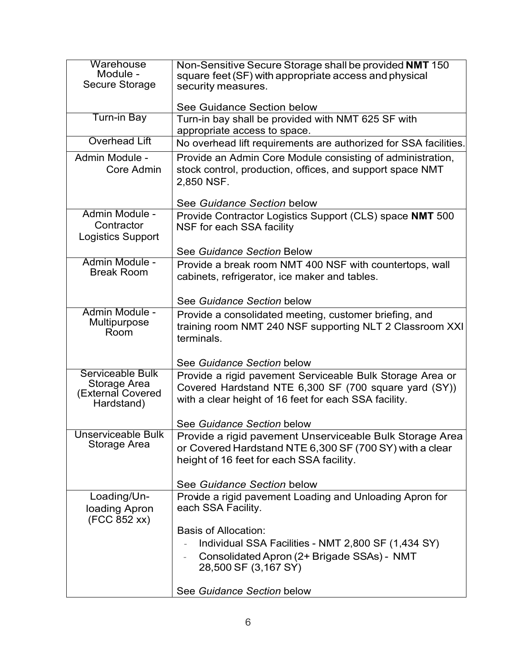| Warehouse<br>Module -<br>Secure Storage                             | Non-Sensitive Secure Storage shall be provided NMT 150<br>square feet (SF) with appropriate access and physical<br>security measures.                                                  |
|---------------------------------------------------------------------|----------------------------------------------------------------------------------------------------------------------------------------------------------------------------------------|
|                                                                     | See Guidance Section below                                                                                                                                                             |
| Turn-in Bay                                                         | Turn-in bay shall be provided with NMT 625 SF with<br>appropriate access to space.                                                                                                     |
| <b>Overhead Lift</b>                                                | No overhead lift requirements are authorized for SSA facilities.                                                                                                                       |
| Admin Module -<br>Core Admin                                        | Provide an Admin Core Module consisting of administration,<br>stock control, production, offices, and support space NMT<br>2,850 NSF.                                                  |
|                                                                     | See Guidance Section below                                                                                                                                                             |
| Admin Module -<br>Contractor<br><b>Logistics Support</b>            | Provide Contractor Logistics Support (CLS) space NMT 500<br>NSF for each SSA facility                                                                                                  |
|                                                                     | See Guidance Section Below                                                                                                                                                             |
| Admin Module -<br><b>Break Room</b>                                 | Provide a break room NMT 400 NSF with countertops, wall<br>cabinets, refrigerator, ice maker and tables.                                                                               |
|                                                                     | See Guidance Section below                                                                                                                                                             |
| Admin Module -<br>Multipurpose<br>Room                              | Provide a consolidated meeting, customer briefing, and<br>training room NMT 240 NSF supporting NLT 2 Classroom XXI<br>terminals.                                                       |
|                                                                     | See Guidance Section below                                                                                                                                                             |
| Serviceable Bulk<br>Storage Area<br>(External Covered<br>Hardstand) | Provide a rigid pavement Serviceable Bulk Storage Area or<br>Covered Hardstand NTE 6,300 SF (700 square yard (SY))<br>with a clear height of 16 feet for each SSA facility.            |
|                                                                     | See Guidance Section below                                                                                                                                                             |
| <b>Unserviceable Bulk</b><br>Storage Area                           | Provide a rigid pavement Unserviceable Bulk Storage Area<br>or Covered Hardstand NTE 6,300 SF (700 SY) with a clear<br>height of 16 feet for each SSA facility.                        |
|                                                                     | See Guidance Section below                                                                                                                                                             |
| Loading/Un-<br>loading Apron<br>(FCC 852 xx)                        | Provide a rigid pavement Loading and Unloading Apron for<br>each SSA Facility.                                                                                                         |
|                                                                     | <b>Basis of Allocation:</b><br>Individual SSA Facilities - NMT 2,800 SF (1,434 SY)<br>Consolidated Apron (2+ Brigade SSAs) - NMT<br>28,500 SF (3,167 SY)<br>See Guidance Section below |
|                                                                     |                                                                                                                                                                                        |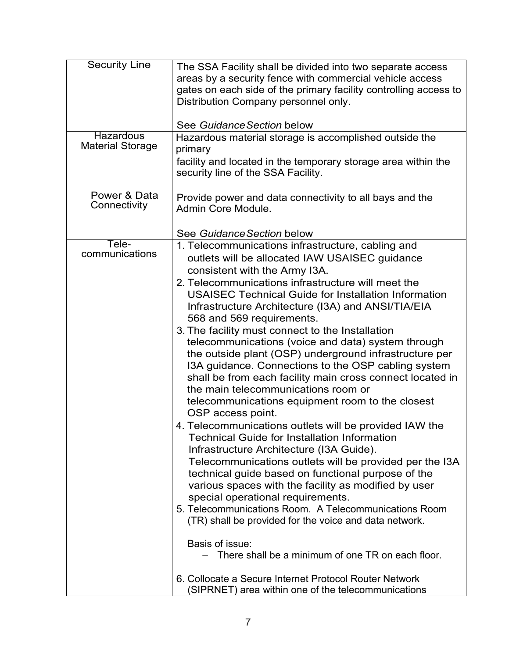| <b>Security Line</b><br><b>Hazardous</b><br><b>Material Storage</b> | The SSA Facility shall be divided into two separate access<br>areas by a security fence with commercial vehicle access<br>gates on each side of the primary facility controlling access to<br>Distribution Company personnel only.<br>See Guidance Section below<br>Hazardous material storage is accomplished outside the<br>primary<br>facility and located in the temporary storage area within the<br>security line of the SSA Facility.                                                                                                                                                                                                                                                                                                                                                                                                                                                                                                                                                                                                                                                                                                                                                                                                                                                                                                                                                                                                |
|---------------------------------------------------------------------|---------------------------------------------------------------------------------------------------------------------------------------------------------------------------------------------------------------------------------------------------------------------------------------------------------------------------------------------------------------------------------------------------------------------------------------------------------------------------------------------------------------------------------------------------------------------------------------------------------------------------------------------------------------------------------------------------------------------------------------------------------------------------------------------------------------------------------------------------------------------------------------------------------------------------------------------------------------------------------------------------------------------------------------------------------------------------------------------------------------------------------------------------------------------------------------------------------------------------------------------------------------------------------------------------------------------------------------------------------------------------------------------------------------------------------------------|
| Power & Data<br>Connectivity                                        | Provide power and data connectivity to all bays and the<br>Admin Core Module.<br>See Guidance Section below                                                                                                                                                                                                                                                                                                                                                                                                                                                                                                                                                                                                                                                                                                                                                                                                                                                                                                                                                                                                                                                                                                                                                                                                                                                                                                                                 |
| Tele-<br>communications                                             | 1. Telecommunications infrastructure, cabling and<br>outlets will be allocated IAW USAISEC guidance<br>consistent with the Army I3A.<br>2. Telecommunications infrastructure will meet the<br><b>USAISEC Technical Guide for Installation Information</b><br>Infrastructure Architecture (I3A) and ANSI/TIA/EIA<br>568 and 569 requirements.<br>3. The facility must connect to the Installation<br>telecommunications (voice and data) system through<br>the outside plant (OSP) underground infrastructure per<br>I3A guidance. Connections to the OSP cabling system<br>shall be from each facility main cross connect located in<br>the main telecommunications room or<br>telecommunications equipment room to the closest<br>OSP access point.<br>4. Telecommunications outlets will be provided IAW the<br><b>Technical Guide for Installation Information</b><br>Infrastructure Architecture (I3A Guide).<br>Telecommunications outlets will be provided per the I3A<br>technical guide based on functional purpose of the<br>various spaces with the facility as modified by user<br>special operational requirements.<br>5. Telecommunications Room. A Telecommunications Room<br>(TR) shall be provided for the voice and data network.<br>Basis of issue:<br>There shall be a minimum of one TR on each floor.<br>6. Collocate a Secure Internet Protocol Router Network<br>(SIPRNET) area within one of the telecommunications |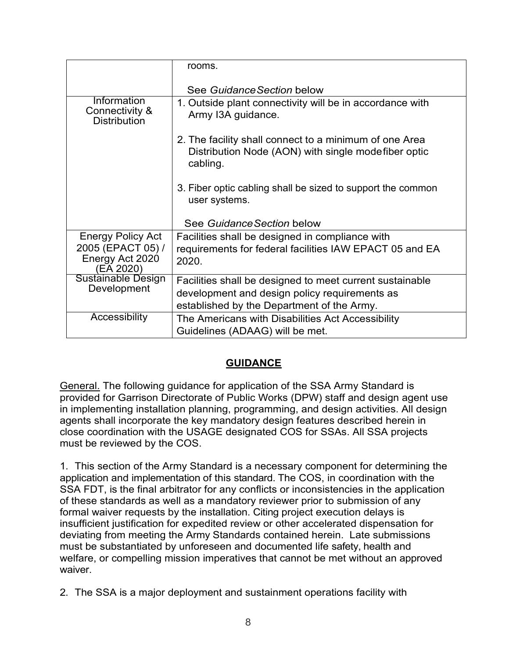|                                                      | rooms.                                                                                                                    |
|------------------------------------------------------|---------------------------------------------------------------------------------------------------------------------------|
|                                                      | See Guidance Section below                                                                                                |
| Information<br>Connectivity &<br><b>Distribution</b> | 1. Outside plant connectivity will be in accordance with<br>Army I3A guidance.                                            |
|                                                      | 2. The facility shall connect to a minimum of one Area<br>Distribution Node (AON) with single modefiber optic<br>cabling. |
|                                                      | 3. Fiber optic cabling shall be sized to support the common<br>user systems.                                              |
|                                                      | See Guidance Section below                                                                                                |
| <b>Energy Policy Act</b>                             | Facilities shall be designed in compliance with                                                                           |
| 2005 (EPACT 05) /<br>Energy Act 2020<br>(EA 2020)    | requirements for federal facilities IAW EPACT 05 and EA<br>2020.                                                          |
| <b>Sustainable Design</b><br>Development             | Facilities shall be designed to meet current sustainable                                                                  |
|                                                      | development and design policy requirements as                                                                             |
|                                                      | established by the Department of the Army.                                                                                |
| Accessibility                                        | The Americans with Disabilities Act Accessibility                                                                         |
|                                                      | Guidelines (ADAAG) will be met.                                                                                           |

# **GUIDANCE**

General. The following guidance for application of the SSA Army Standard is provided for Garrison Directorate of Public Works (DPW) staff and design agent use in implementing installation planning, programming, and design activities. All design agents shall incorporate the key mandatory design features described herein in close coordination with the USAGE designated COS for SSAs. All SSA projects must be reviewed by the COS.

1. This section of the Army Standard is a necessary component for determining the application and implementation of this standard. The COS, in coordination with the SSA FDT, is the final arbitrator for any conflicts or inconsistencies in the application of these standards as well as a mandatory reviewer prior to submission of any formal waiver requests by the installation. Citing project execution delays is insufficient justification for expedited review or other accelerated dispensation for deviating from meeting the Army Standards contained herein. Late submissions must be substantiated by unforeseen and documented life safety, health and welfare, or compelling mission imperatives that cannot be met without an approved waiver.

<sup>2.</sup> The SSA is a major deployment and sustainment operations facility with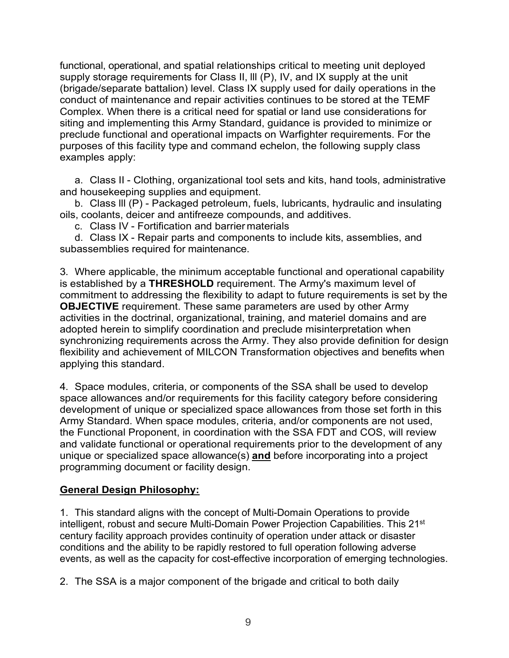functional, operational, and spatial relationships critical to meeting unit deployed supply storage requirements for Class II, III (P), IV, and IX supply at the unit (brigade/separate battalion) level. Class IX supply used for daily operations in the conduct of maintenance and repair activities continues to be stored at the TEMF Complex. When there is a critical need for spatial or land use considerations for siting and implementing this Army Standard, guidance is provided to minimize or preclude functional and operational impacts on Warfighter requirements. For the purposes of this facility type and command echelon, the following supply class examples apply:

a. Class II - Clothing, organizational tool sets and kits, hand tools, administrative and housekeeping supplies and equipment.

b. Class lll (P) - Packaged petroleum, fuels, lubricants, hydraulic and insulating oils, coolants, deicer and antifreeze compounds, and additives.

c. Class IV - Fortification and barrier materials

d. Class IX - Repair parts and components to include kits, assemblies, and subassemblies required for maintenance.

3. Where applicable, the minimum acceptable functional and operational capability is established by a **THRESHOLD** requirement. The Army's maximum level of commitment to addressing the flexibility to adapt to future requirements is set by the **OBJECTIVE** requirement. These same parameters are used by other Army activities in the doctrinal, organizational, training, and materiel domains and are adopted herein to simplify coordination and preclude misinterpretation when synchronizing requirements across the Army. They also provide definition for design flexibility and achievement of MILCON Transformation objectives and benefits when applying this standard.

4. Space modules, criteria, or components of the SSA shall be used to develop space allowances and/or requirements for this facility category before considering development of unique or specialized space allowances from those set forth in this Army Standard. When space modules, criteria, and/or components are not used, the Functional Proponent, in coordination with the SSA FDT and COS, will review and validate functional or operational requirements prior to the development of any unique or specialized space allowance(s) **and** before incorporating into a project programming document or facility design.

### **General Design Philosophy:**

1. This standard aligns with the concept of Multi-Domain Operations to provide intelligent, robust and secure Multi-Domain Power Projection Capabilities. This 21<sup>st</sup> century facility approach provides continuity of operation under attack or disaster conditions and the ability to be rapidly restored to full operation following adverse events, as well as the capacity for cost-effective incorporation of emerging technologies.

2. The SSA is a major component of the brigade and critical to both daily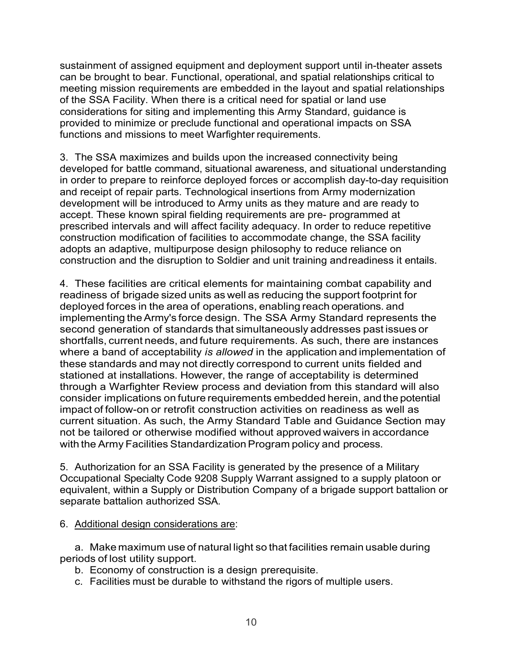sustainment of assigned equipment and deployment support until in-theater assets can be brought to bear. Functional, operational, and spatial relationships critical to meeting mission requirements are embedded in the layout and spatial relationships of the SSA Facility. When there is a critical need for spatial or land use considerations for siting and implementing this Army Standard, guidance is provided to minimize or preclude functional and operational impacts on SSA functions and missions to meet Warfighter requirements.

3. The SSA maximizes and builds upon the increased connectivity being developed for battle command, situational awareness, and situational understanding in order to prepare to reinforce deployed forces or accomplish day-to-day requisition and receipt of repair parts. Technological insertions from Army modernization development will be introduced to Army units as they mature and are ready to accept. These known spiral fielding requirements are pre- programmed at prescribed intervals and will affect facility adequacy. In order to reduce repetitive construction modification of facilities to accommodate change, the SSA facility adopts an adaptive, multipurpose design philosophy to reduce reliance on construction and the disruption to Soldier and unit training andreadiness it entails.

4. These facilities are critical elements for maintaining combat capability and readiness of brigade sized units as well as reducing the support footprint for deployed forces in the area of operations, enabling reach operations. and implementing theArmy's force design. The SSA Army Standard represents the second generation of standards that simultaneously addresses past issues or shortfalls, current needs, and future requirements. As such, there are instances where a band of acceptability *is allowed* in the application and implementation of these standards and may not directly correspond to current units fielded and stationed at installations. However, the range of acceptability is determined through a Warfighter Review process and deviation from this standard will also consider implications on future requirements embedded herein, and the potential impact of follow-on or retrofit construction activities on readiness as well as current situation. As such, the Army Standard Table and Guidance Section may not be tailored or otherwise modified without approved waivers in accordance with the Army Facilities Standardization Program policy and process.

5. Authorization for an SSA Facility is generated by the presence of a Military Occupational Specialty Code 9208 Supply Warrant assigned to a supply platoon or equivalent, within a Supply or Distribution Company of a brigade support battalion or separate battalion authorized SSA.

6. Additional design considerations are:

a. Make maximum use of natural light so that facilities remain usable during periods of lost utility support.

- b. Economy of construction is a design prerequisite.
- c. Facilities must be durable to withstand the rigors of multiple users.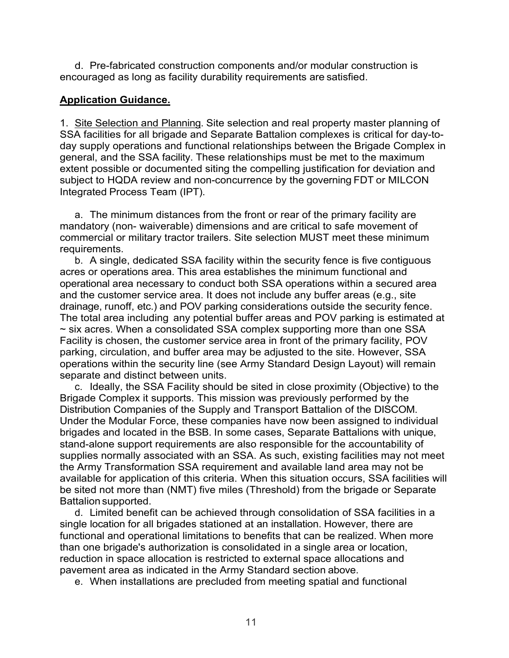d. Pre-fabricated construction components and/or modular construction is encouraged as long as facility durability requirements are satisfied.

#### **Application Guidance.**

1. Site Selection and Planning. Site selection and real property master planning of SSA facilities for all brigade and Separate Battalion complexes is critical for day-today supply operations and functional relationships between the Brigade Complex in general, and the SSA facility. These relationships must be met to the maximum extent possible or documented siting the compelling justification for deviation and subject to HQDA review and non-concurrence by the governing FDT or MILCON Integrated Process Team (IPT).

a. The minimum distances from the front or rear of the primary facility are mandatory (non- waiverable) dimensions and are critical to safe movement of commercial or military tractor trailers. Site selection MUST meet these minimum requirements.

b. A single, dedicated SSA facility within the security fence is five contiguous acres or operations area. This area establishes the minimum functional and operational area necessary to conduct both SSA operations within a secured area and the customer service area. It does not include any buffer areas (e.g., site drainage, runoff, etc.) and POV parking considerations outside the security fence. The total area including any potential buffer areas and POV parking is estimated at ~ six acres. When a consolidated SSA complex supporting more than one SSA Facility is chosen, the customer service area in front of the primary facility, POV parking, circulation, and buffer area may be adjusted to the site. However, SSA operations within the security line (see Army Standard Design Layout) will remain separate and distinct between units.

c. Ideally, the SSA Facility should be sited in close proximity (Objective) to the Brigade Complex it supports. This mission was previously performed by the Distribution Companies of the Supply and Transport Battalion of the DISCOM. Under the Modular Force, these companies have now been assigned to individual brigades and located in the BSB. In some cases, Separate Battalions with unique, stand-alone support requirements are also responsible for the accountability of supplies normally associated with an SSA. As such, existing facilities may not meet the Army Transformation SSA requirement and available land area may not be available for application of this criteria. When this situation occurs, SSA facilities will be sited not more than (NMT) five miles (Threshold) from the brigade or Separate Battalion supported.

d. Limited benefit can be achieved through consolidation of SSA facilities in a single location for all brigades stationed at an installation. However, there are functional and operational limitations to benefits that can be realized. When more than one brigade's authorization is consolidated in a single area or location, reduction in space allocation is restricted to external space allocations and pavement area as indicated in the Army Standard section above.

e. When installations are precluded from meeting spatial and functional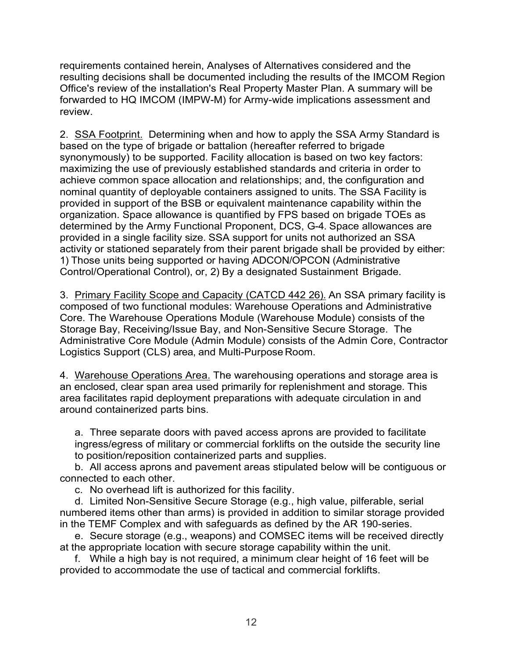requirements contained herein, Analyses of Alternatives considered and the resulting decisions shall be documented including the results of the IMCOM Region Office's review of the installation's Real Property Master Plan. A summary will be forwarded to HQ IMCOM (IMPW-M) for Army-wide implications assessment and review.

2. SSA Footprint. Determining when and how to apply the SSA Army Standard is based on the type of brigade or battalion (hereafter referred to brigade synonymously) to be supported. Facility allocation is based on two key factors: maximizing the use of previously established standards and criteria in order to achieve common space allocation and relationships; and, the configuration and nominal quantity of deployable containers assigned to units. The SSA Facility is provided in support of the BSB or equivalent maintenance capability within the organization. Space allowance is quantified by FPS based on brigade TOEs as determined by the Army Functional Proponent, DCS, G-4. Space allowances are provided in a single facility size. SSA support for units not authorized an SSA activity or stationed separately from their parent brigade shall be provided by either: 1) Those units being supported or having ADCON/OPCON (Administrative Control/Operational Control), or, 2) By a designated Sustainment Brigade.

3. Primary Facility Scope and Capacity (CATCD 442 26). An SSA primary facility is composed of two functional modules: Warehouse Operations and Administrative Core. The Warehouse Operations Module (Warehouse Module) consists of the Storage Bay, Receiving/Issue Bay, and Non-Sensitive Secure Storage. The Administrative Core Module (Admin Module) consists of the Admin Core, Contractor Logistics Support (CLS) area, and Multi-Purpose Room.

4. Warehouse Operations Area. The warehousing operations and storage area is an enclosed, clear span area used primarily for replenishment and storage. This area facilitates rapid deployment preparations with adequate circulation in and around containerized parts bins.

a. Three separate doors with paved access aprons are provided to facilitate ingress/egress of military or commercial forklifts on the outside the security line to position/reposition containerized parts and supplies.

b. All access aprons and pavement areas stipulated below will be contiguous or connected to each other.

c. No overhead lift is authorized for this facility.

d. Limited Non-Sensitive Secure Storage (e.g., high value, pilferable, serial numbered items other than arms) is provided in addition to similar storage provided in the TEMF Complex and with safeguards as defined by the AR 190-series.

e. Secure storage (e.g., weapons) and COMSEC items will be received directly at the appropriate location with secure storage capability within the unit.

f. While a high bay is not required, a minimum clear height of 16 feet will be provided to accommodate the use of tactical and commercial forklifts.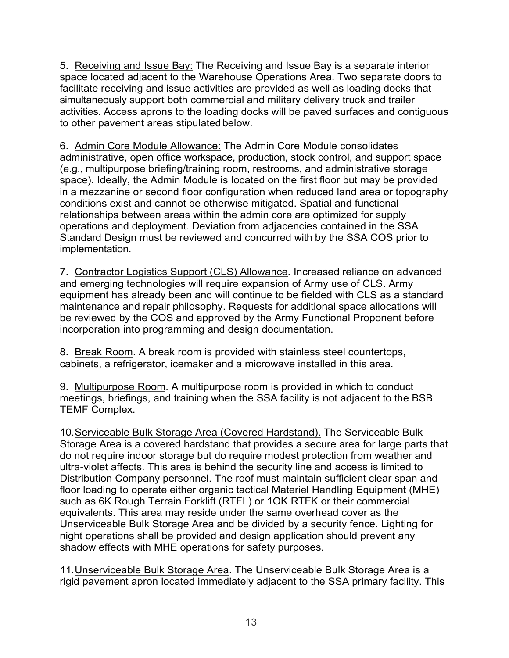5. Receiving and Issue Bay: The Receiving and Issue Bay is a separate interior space located adjacent to the Warehouse Operations Area. Two separate doors to facilitate receiving and issue activities are provided as well as loading docks that simultaneously support both commercial and military delivery truck and trailer activities. Access aprons to the loading docks will be paved surfaces and contiguous to other pavement areas stipulated below.

6. Admin Core Module Allowance: The Admin Core Module consolidates administrative, open office workspace, production, stock control, and support space (e.g., multipurpose briefing/training room, restrooms, and administrative storage space). Ideally, the Admin Module is located on the first floor but may be provided in a mezzanine or second floor configuration when reduced land area or topography conditions exist and cannot be otherwise mitigated. Spatial and functional relationships between areas within the admin core are optimized for supply operations and deployment. Deviation from adjacencies contained in the SSA Standard Design must be reviewed and concurred with by the SSA COS prior to implementation.

7. Contractor Logistics Support (CLS) Allowance. Increased reliance on advanced and emerging technologies will require expansion of Army use of CLS. Army equipment has already been and will continue to be fielded with CLS as a standard maintenance and repair philosophy. Requests for additional space allocations will be reviewed by the COS and approved by the Army Functional Proponent before incorporation into programming and design documentation.

8. Break Room. A break room is provided with stainless steel countertops, cabinets, a refrigerator, icemaker and a microwave installed in this area.

9. Multipurpose Room. A multipurpose room is provided in which to conduct meetings, briefings, and training when the SSA facility is not adjacent to the BSB TEMF Complex.

10.Serviceable Bulk Storage Area (Covered Hardstand). The Serviceable Bulk Storage Area is a covered hardstand that provides a secure area for large parts that do not require indoor storage but do require modest protection from weather and ultra-violet affects. This area is behind the security line and access is limited to Distribution Company personnel. The roof must maintain sufficient clear span and floor loading to operate either organic tactical Materiel Handling Equipment (MHE) such as 6K Rough Terrain Forklift (RTFL) or 1OK RTFK or their commercial equivalents. This area may reside under the same overhead cover as the Unserviceable Bulk Storage Area and be divided by a security fence. Lighting for night operations shall be provided and design application should prevent any shadow effects with MHE operations for safety purposes.

11. Unserviceable Bulk Storage Area. The Unserviceable Bulk Storage Area is a rigid pavement apron located immediately adjacent to the SSA primary facility. This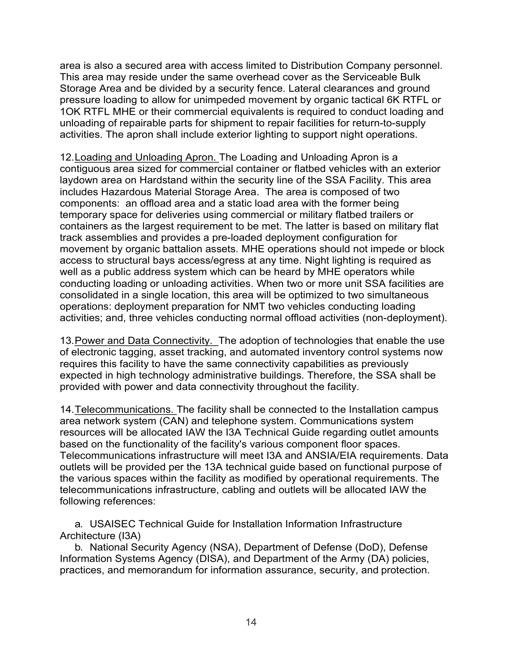area is also a secured area with access limited to Distribution Company personnel. This area may reside under the same overhead cover as the Serviceable Bulk Storage Area and be divided by a security fence. Lateral clearances and ground pressure loading to allow for unimpeded movement by organic tactical 6K RTFL or 1OK RTFL MHE or their commercial equivalents is required to conduct loading and unloading of repairable parts for shipment to repair facilities for return-to-supply activities. The apron shall include exterior lighting to support night operations.

12.Loading and Unloading Apron. The Loading and Unloading Apron is a contiguous area sized for commercial container or flatbed vehicles with an exterior laydown area on Hardstand within the security line of the SSA Facility. This area includes Hazardous Material Storage Area. The area is composed of two components: an offload area and a static load area with the former being temporary space for deliveries using commercial or military flatbed trailers or containers as the largest requirement to be met. The latter is based on military flat track assemblies and provides a pre-loaded deployment configuration for movement by organic battalion assets. MHE operations should not impede or block access to structural bays access/egress at any time. Night lighting is required as well as a public address system which can be heard by MHE operators while conducting loading or unloading activities. When two or more unit SSA facilities are consolidated in a single location, this area will be optimized to two simultaneous operations: deployment preparation for NMT two vehicles conducting loading activities; and, three vehicles conducting normal offload activities (non-deployment).

13.Power and Data Connectivity. The adoption of technologies that enable the use of electronic tagging, asset tracking, and automated inventory control systems now requires this facility to have the same connectivity capabilities as previously expected in high technology administrative buildings. Therefore, the SSA shall be provided with power and data connectivity throughout the facility.

14.Telecommunications. The facility shall be connected to the Installation campus area network system (CAN) and telephone system. Communications system resources will be allocated IAW the I3A Technical Guide regarding outlet amounts based on the functionality of the facility's various component floor spaces. Telecommunications infrastructure will meet I3A and ANSIA/EIA requirements. Data outlets will be provided per the 13A technical guide based on functional purpose of the various spaces within the facility as modified by operational requirements. The telecommunications infrastructure, cabling and outlets will be allocated IAW the following references:

a. USAISEC Technical Guide for Installation Information Infrastructure Architecture (I3A)

b. National Security Agency (NSA), Department of Defense (DoD), Defense Information Systems Agency (DISA), and Department of the Army (DA) policies, practices, and memorandum for information assurance, security, and protection.